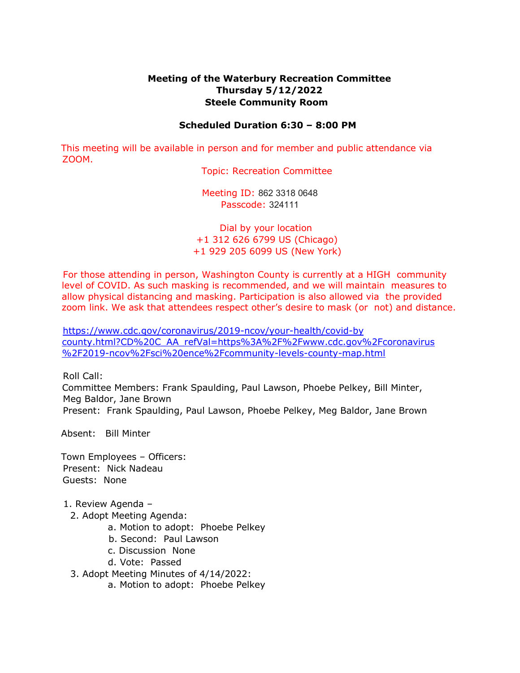## **Meeting of the Waterbury Recreation Committee Thursday 5/12/2022 Steele Community Room**

## **Scheduled Duration 6:30 – 8:00 PM**

This meeting will be available in person and for member and public attendance via ZOOM.

Topic: Recreation Committee

Meeting ID: 862 3318 0648 Passcode: 324111

Dial by your location +1 312 626 6799 US (Chicago) +1 929 205 6099 US (New York)

For those attending in person, Washington County is currently at a HIGH community level of COVID. As such masking is recommended, and we will maintain measures to allow physical distancing and masking. Participation is also allowed via the provided zoom link. We ask that attendees respect other's desire to mask (or not) and distance.

https://www.cdc.gov/coronavirus/2019-ncov/your-health/covid-by county.html?CD%20C\_AA\_refVal=https%3A%2F%2Fwww.cdc.gov%2Fcoronavirus %2F2019-ncov%2Fsci%20ence%2Fcommunity-levels-county-map.html

Roll Call:

Committee Members: Frank Spaulding, Paul Lawson, Phoebe Pelkey, Bill Minter, Meg Baldor, Jane Brown

Present: Frank Spaulding, Paul Lawson, Phoebe Pelkey, Meg Baldor, Jane Brown

Absent: Bill Minter

Town Employees – Officers: Present: Nick Nadeau Guests: None

## 1. Review Agenda –

- 2. Adopt Meeting Agenda:
	- a. Motion to adopt: Phoebe Pelkey
	- b. Second: Paul Lawson
	- c. Discussion None
	- d. Vote: Passed
- 3. Adopt Meeting Minutes of 4/14/2022:
	- a. Motion to adopt: Phoebe Pelkey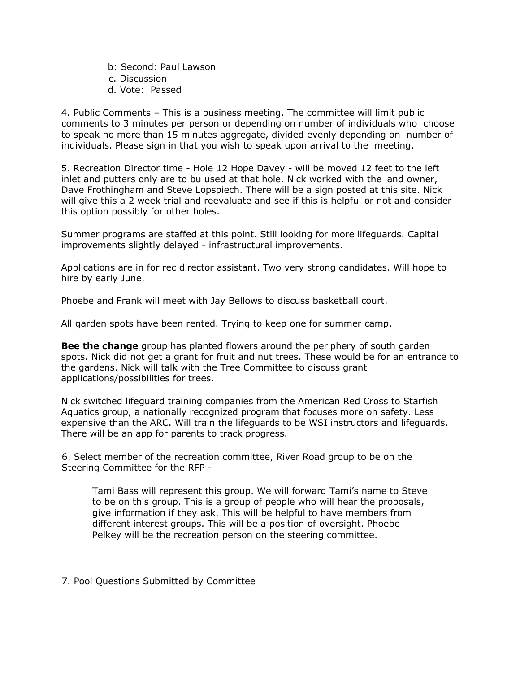b: Second: Paul Lawson c. Discussion d. Vote: Passed

4. Public Comments – This is a business meeting. The committee will limit public comments to 3 minutes per person or depending on number of individuals who choose to speak no more than 15 minutes aggregate, divided evenly depending on number of individuals. Please sign in that you wish to speak upon arrival to the meeting.

5. Recreation Director time - Hole 12 Hope Davey - will be moved 12 feet to the left inlet and putters only are to bu used at that hole. Nick worked with the land owner, Dave Frothingham and Steve Lopspiech. There will be a sign posted at this site. Nick will give this a 2 week trial and reevaluate and see if this is helpful or not and consider this option possibly for other holes.

Summer programs are staffed at this point. Still looking for more lifeguards. Capital improvements slightly delayed - infrastructural improvements.

Applications are in for rec director assistant. Two very strong candidates. Will hope to hire by early June.

Phoebe and Frank will meet with Jay Bellows to discuss basketball court.

All garden spots have been rented. Trying to keep one for summer camp.

**Bee the change** group has planted flowers around the periphery of south garden spots. Nick did not get a grant for fruit and nut trees. These would be for an entrance to the gardens. Nick will talk with the Tree Committee to discuss grant applications/possibilities for trees.

Nick switched lifeguard training companies from the American Red Cross to Starfish Aquatics group, a nationally recognized program that focuses more on safety. Less expensive than the ARC. Will train the lifeguards to be WSI instructors and lifeguards. There will be an app for parents to track progress.

6. Select member of the recreation committee, River Road group to be on the Steering Committee for the RFP -

Tami Bass will represent this group. We will forward Tami's name to Steve to be on this group. This is a group of people who will hear the proposals, give information if they ask. This will be helpful to have members from different interest groups. This will be a position of oversight. Phoebe Pelkey will be the recreation person on the steering committee.

7. Pool Questions Submitted by Committee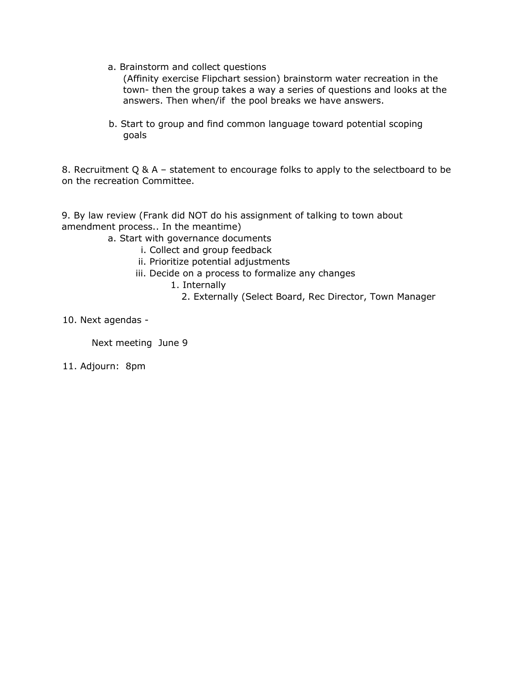a. Brainstorm and collect questions

(Affinity exercise Flipchart session) brainstorm water recreation in the town- then the group takes a way a series of questions and looks at the answers. Then when/if the pool breaks we have answers.

b. Start to group and find common language toward potential scoping goals

8. Recruitment Q & A – statement to encourage folks to apply to the selectboard to be on the recreation Committee.

9. By law review (Frank did NOT do his assignment of talking to town about amendment process.. In the meantime)

a. Start with governance documents

- i. Collect and group feedback
- ii. Prioritize potential adjustments
- iii. Decide on a process to formalize any changes
	- 1. Internally
		- 2. Externally (Select Board, Rec Director, Town Manager

10. Next agendas -

Next meeting June 9

11. Adjourn: 8pm